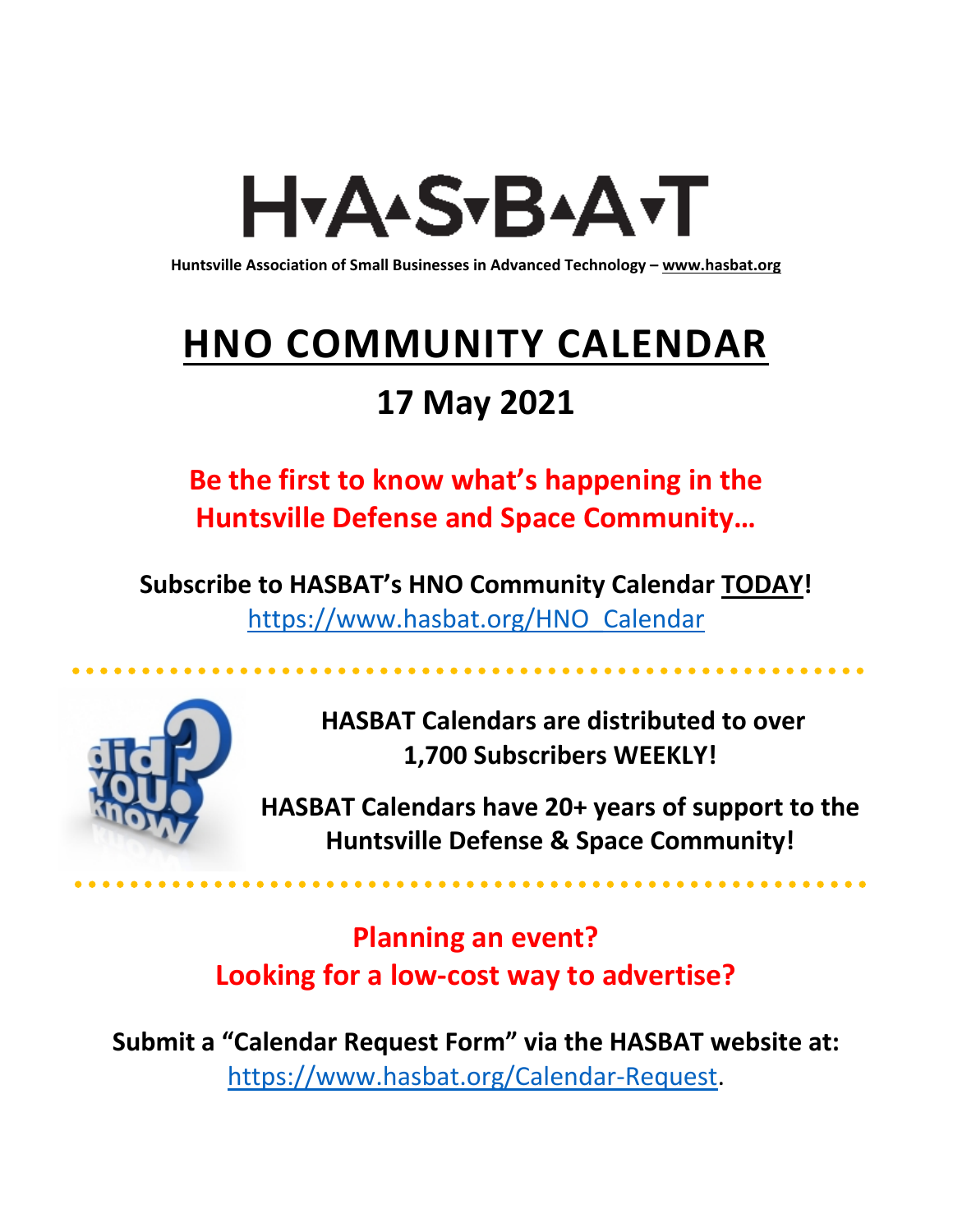# H<sub>Y</sub>AASTBAATT

**Huntsville Association of Small Businesses in Advanced Technology – [www.hasbat.org](http://www.hasbat.org/)**

# **HNO COMMUNITY CALENDAR**

### **17 May 2021**

**Be the first to know what's happening in the Huntsville Defense and Space Community…** 

**Subscribe to HASBAT's HNO Community Calendar TODAY!**  [https://www.hasbat.org/HNO\\_Calendar](https://www.hasbat.org/HNO_Calendar)



**HASBAT Calendars are distributed to over 1,700 Subscribers WEEKLY!**

**HASBAT Calendars have 20+ years of support to the Huntsville Defense & Space Community!** 

**Planning an event? Looking for a low-cost way to advertise?**

**Submit a "Calendar Request Form" via the HASBAT website at:**  [https://www.hasbat.org/Calendar-Request.](https://www.hasbat.org/Calendar-Request)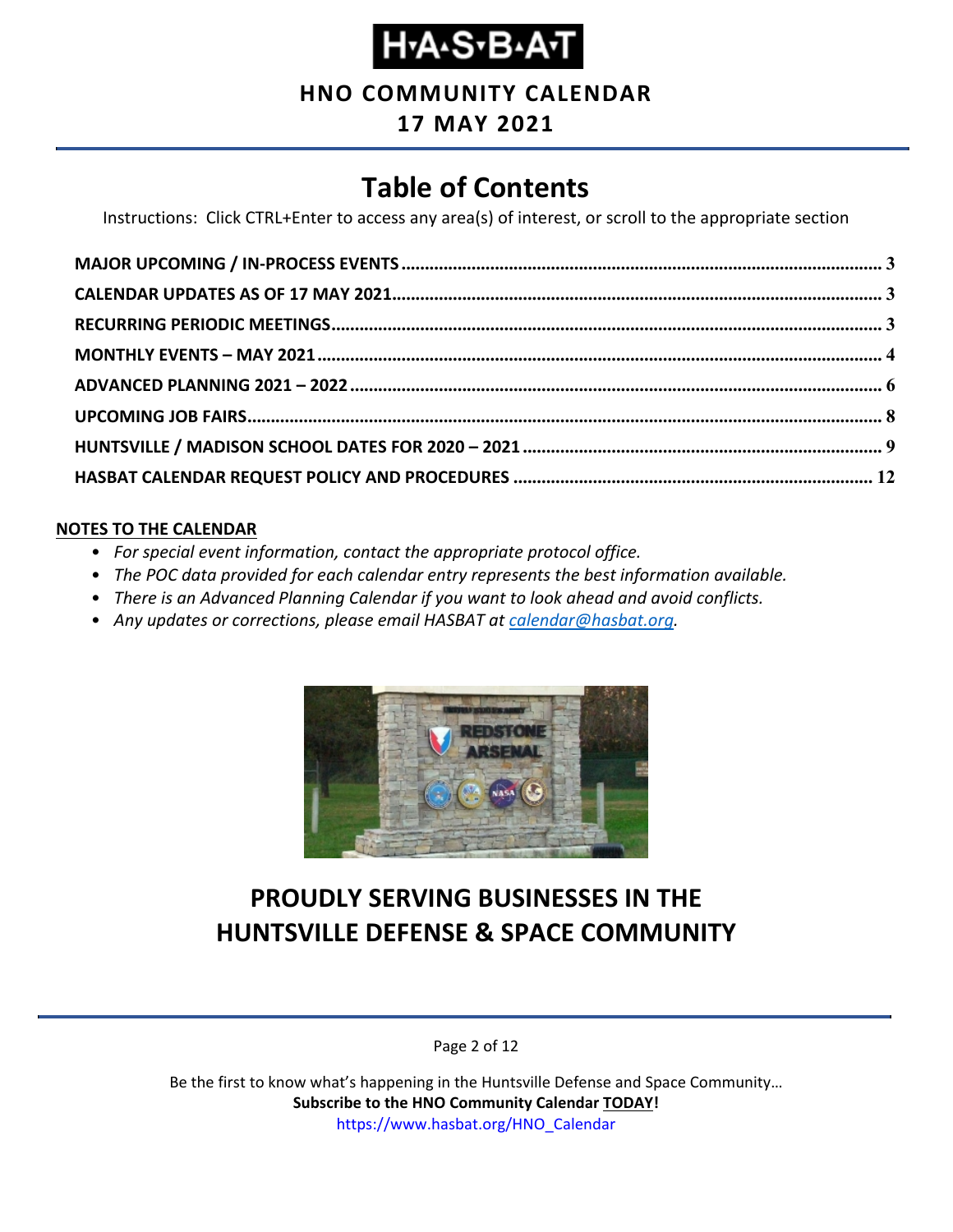#### **HNO COMMUNITY CALENDAR**

#### **17 MAY 2021**

### **Table of Contents**

Instructions: Click CTRL+Enter to access any area(s) of interest, or scroll to the appropriate section

#### **NOTES TO THE CALENDAR**

- *For special event information, contact the appropriate protocol office.*
- *The POC data provided for each calendar entry represents the best information available.*
- *There is an Advanced Planning Calendar if you want to look ahead and avoid conflicts.*
- *Any updates or corrections, please email HASBAT at [calendar@hasbat.org.](mailto:calendar@hasbat.org)*



### **PROUDLY SERVING BUSINESSES IN THE HUNTSVILLE DEFENSE & SPACE COMMUNITY**

Page 2 of 12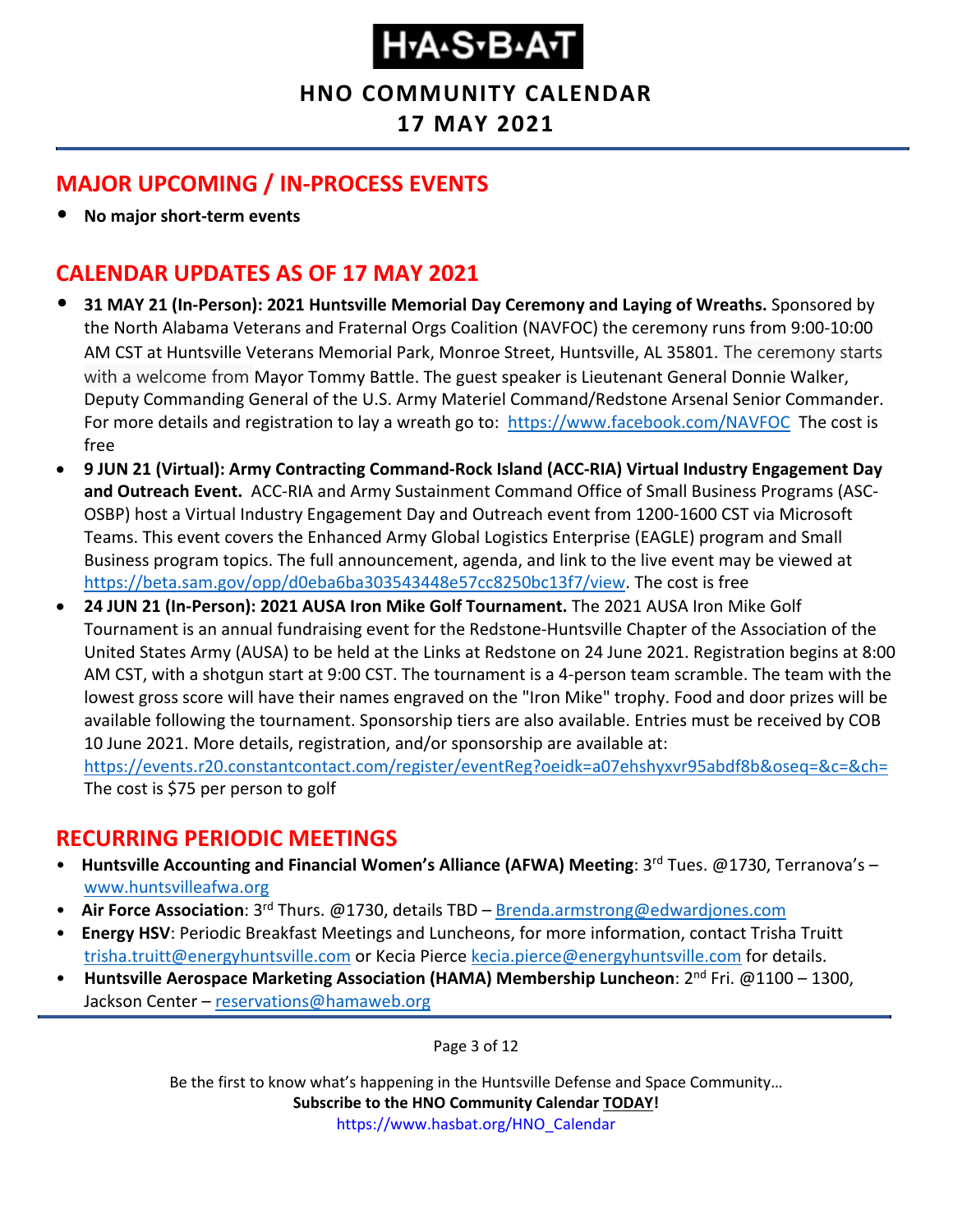#### **HNO COMMUNITY CALENDAR**

#### **17 MAY 2021**

#### <span id="page-2-0"></span>**MAJOR UPCOMING / IN-PROCESS EVENTS**

• **No major short-term events**

#### <span id="page-2-1"></span>**CALENDAR UPDATES AS OF 17 MAY 2021**

- **31 MAY 21 (In-Person): 2021 Huntsville Memorial Day Ceremony and Laying of Wreaths.** Sponsored by the North Alabama Veterans and Fraternal Orgs Coalition (NAVFOC) the ceremony runs from 9:00-10:00 AM CST at Huntsville Veterans Memorial Park, Monroe Street, Huntsville, AL 35801. The ceremony starts with a welcome from Mayor Tommy Battle. The guest speaker is Lieutenant General Donnie Walker, Deputy Commanding General of the U.S. Army Materiel Command/Redstone Arsenal Senior Commander. For more details and registration to lay a wreath go to: <https://www.facebook.com/NAVFOC>The cost is free
- **9 JUN 21 (Virtual): Army Contracting Command-Rock Island (ACC-RIA) Virtual Industry Engagement Day and Outreach Event.** ACC-RIA and Army Sustainment Command Office of Small Business Programs (ASC-OSBP) host a Virtual Industry Engagement Day and Outreach event from 1200-1600 CST via Microsoft Teams. This event covers the Enhanced Army Global Logistics Enterprise (EAGLE) program and Small Business program topics. The full announcement, agenda, and link to the live event may be viewed at [https://beta.sam.gov/opp/d0eba6ba303543448e57cc8250bc13f7/view.](https://beta.sam.gov/opp/d0eba6ba303543448e57cc8250bc13f7/view) The cost is free
- **24 JUN 21 (In-Person): 2021 AUSA Iron Mike Golf Tournament.** The 2021 AUSA Iron Mike Golf Tournament is an annual fundraising event for the Redstone-Huntsville Chapter of the Association of the United States Army (AUSA) to be held at the Links at Redstone on 24 June 2021. Registration begins at 8:00 AM CST, with a shotgun start at 9:00 CST. The tournament is a 4-person team scramble. The team with the lowest gross score will have their names engraved on the "Iron Mike" trophy. Food and door prizes will be available following the tournament. Sponsorship tiers are also available. Entries must be received by COB 10 June 2021. More details, registration, and/or sponsorship are available at: <https://events.r20.constantcontact.com/register/eventReg?oeidk=a07ehshyxvr95abdf8b&oseq=&c=&ch=>

The cost is \$75 per person to golf

#### <span id="page-2-2"></span>**RECURRING PERIODIC MEETINGS**

- Huntsville Accounting and Financial Women's Alliance (AFWA) Meeting: 3<sup>rd</sup> Tues. @1730, Terranova's [www.huntsvilleafwa.org](http://www.huntsvilleafwa.org/)
- **Air Force Association**: 3<sup>rd</sup> Thurs. @1730, details TBD [Brenda.armstrong@edwardjones.com](mailto:Brenda.armstrong@edwardjones.com)
- **Energy HSV**: Periodic Breakfast Meetings and Luncheons, for more information, contact Trisha Truitt [trisha.truitt@energyhuntsville.com](mailto:trisha.truitt@energyhuntsville.com) or Kecia Pierce [kecia.pierce@energyhuntsville.com](mailto:kecia.pierce@energyhuntsville.com) for details.
- Huntsville Aerospace Marketing Association (HAMA) Membership Luncheon: 2<sup>nd</sup> Fri. @1100 1300, Jackson Center – [reservations@hamaweb.org](mailto:reservations@hamaweb.org)

Page 3 of 12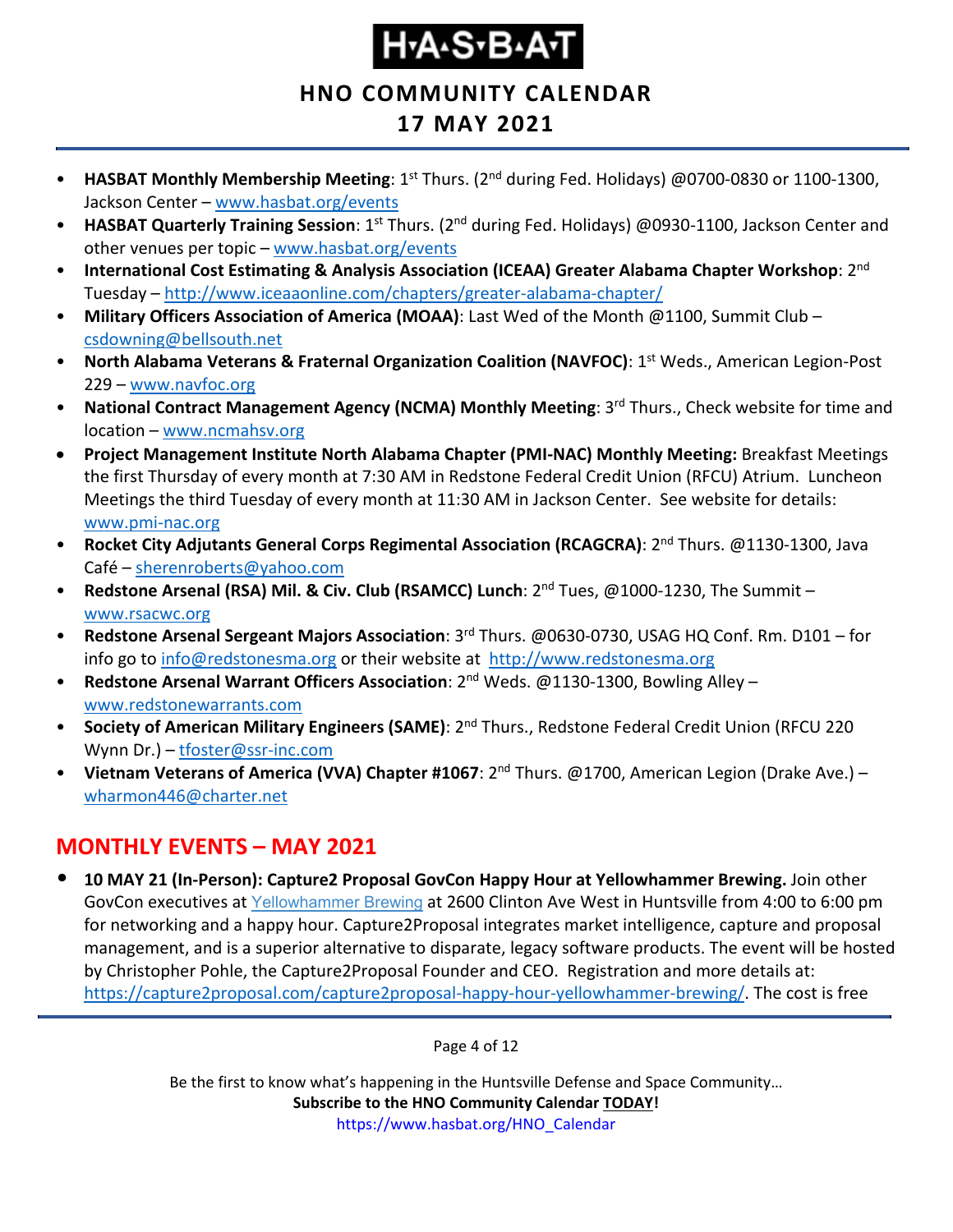**HNO COMMUNITY CALENDAR**

#### **17 MAY 2021**

- **HASBAT Monthly Membership Meeting**: 1<sup>st</sup> Thurs. (2<sup>nd</sup> during Fed. Holidays) @0700-0830 or 1100-1300, Jackson Center – [www.hasbat.org/events](http://www.hasbat.org/events)
- **HASBAT Quarterly Training Session**: 1<sup>st</sup> Thurs. (2<sup>nd</sup> during Fed. Holidays) @0930-1100, Jackson Center and other venues per topic - [www.hasbat.org/events](http://www.hasbat.org/events)
- **International Cost Estimating & Analysis Association (ICEAA) Greater Alabama Chapter Workshop**: 2nd Tuesday – <http://www.iceaaonline.com/chapters/greater-alabama-chapter/>
- **Military Officers Association of America (MOAA)**: Last Wed of the Month @1100, Summit Club [csdowning@bellsouth.net](mailto:csdowning@bellsouth.net)
- **North Alabama Veterans & Fraternal Organization Coalition (NAVFOC): 1<sup>st</sup> Weds., American Legion-Post** 229 – [www.navfoc.org](http://www.navfoc.org/)
- **National Contract Management Agency (NCMA) Monthly Meeting: 3<sup>rd</sup> Thurs., Check website for time and** location – [www.ncmahsv.org](http://www.ncmahsv.org/)
- **Project Management Institute North Alabama Chapter (PMI-NAC) Monthly Meeting:** Breakfast Meetings the first Thursday of every month at 7:30 AM in Redstone Federal Credit Union (RFCU) Atrium. Luncheon Meetings the third Tuesday of every month at 11:30 AM in Jackson Center. See website for details: [www.pmi-nac.org](http://www.pmi-nac.org/)
- **Rocket City Adjutants General Corps Regimental Association (RCAGCRA)**: 2nd Thurs. @1130-1300, Java Café – [sherenroberts@yahoo.com](mailto:sherenroberts@yahoo.com)
- **Redstone Arsenal (RSA) Mil. & Civ. Club (RSAMCC) Lunch**: 2nd Tues, @1000-1230, The Summit [www.rsacwc.org](http://www.rsacwc.org/)
- **Redstone Arsenal Sergeant Majors Association**: 3rd Thurs. @0630-0730, USAG HQ Conf. Rm. D101 for info go to [info@redstonesma.org](mailto:info@redstonesma.org) or their website at [http://www.redstonesma.org](http://www.redstonesma.org/)
- **Redstone Arsenal Warrant Officers Association**: 2nd Weds. @1130-1300, Bowling Alley [www.redstonewarrants.com](http://www.redstonewarrants.com/)
- **Society of American Military Engineers (SAME)**: 2nd Thurs., Redstone Federal Credit Union (RFCU 220 Wynn Dr.) – [tfoster@ssr-inc.com](mailto:tfoster@ssr-inc.com)
- **Vietnam Veterans of America (VVA) Chapter #1067**: 2nd Thurs. @1700, American Legion (Drake Ave.) [wharmon446@charter.net](mailto:wharmon446@charter.net)

### <span id="page-3-0"></span>**MONTHLY EVENTS – MAY 2021**

• **10 MAY 21 (In-Person): Capture2 Proposal GovCon Happy Hour at Yellowhammer Brewing.** Join other GovCon executives at [Yellowhammer](https://www.yellowhammerbrewery.com/) Brewing at 2600 Clinton Ave West in Huntsville from 4:00 to 6:00 pm for networking and a happy hour. Capture2Proposal integrates market intelligence, capture and proposal management, and is a superior alternative to disparate, legacy software products. The event will be hosted by Christopher Pohle, the Capture2Proposal Founder and CEO. Registration and more details at: [https://capture2proposal.com/capture2proposal-happy-hour-yellowhammer-brewing/.](https://capture2proposal.com/capture2proposal-happy-hour-yellowhammer-brewing/) The cost is free

Page 4 of 12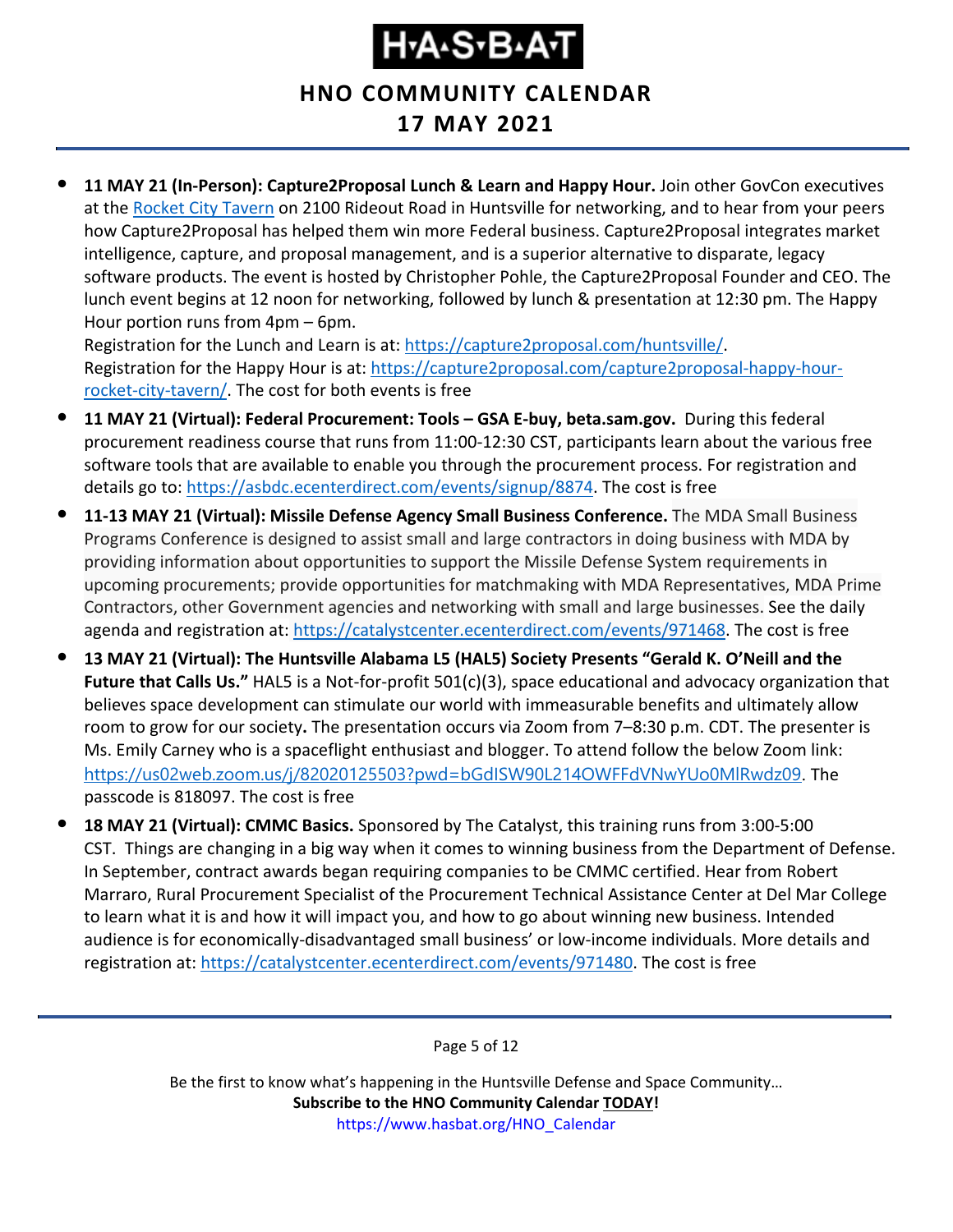**HNO COMMUNITY CALENDAR**

#### **17 MAY 2021**

• **11 MAY 21 (In-Person): Capture2Proposal Lunch & Learn and Happy Hour.** Join other GovCon executives at the [Rocket City Tavern](https://www.rocketcitytavern.com/) on 2100 Rideout Road in Huntsville for networking, and to hear from your peers how Capture2Proposal has helped them win more Federal business. Capture2Proposal integrates market intelligence, capture, and proposal management, and is a superior alternative to disparate, legacy software products. The event is hosted by Christopher Pohle, the Capture2Proposal Founder and CEO. The lunch event begins at 12 noon for networking, followed by lunch & presentation at 12:30 pm. The Happy Hour portion runs from 4pm – 6pm.

Registration for the Lunch and Learn is at: [https://capture2proposal.com/huntsville/.](https://capture2proposal.com/huntsville/) Registration for the Happy Hour is at: [https://capture2proposal.com/capture2proposal-happy-hour](https://capture2proposal.com/capture2proposal-happy-hour-rocket-city-tavern/)[rocket-city-tavern/.](https://capture2proposal.com/capture2proposal-happy-hour-rocket-city-tavern/) The cost for both events is free

- **11 MAY 21 (Virtual): Federal Procurement: Tools – GSA E-buy, beta.sam.gov.** During this federal procurement readiness course that runs from 11:00-12:30 CST, participants learn about the various free software tools that are available to enable you through the procurement process. For registration and details go to: [https://asbdc.ecenterdirect.com/events/signup/8874.](https://asbdc.ecenterdirect.com/events/signup/8874) The cost is free
- **11-13 MAY 21 (Virtual): Missile Defense Agency Small Business Conference.** The MDA Small Business Programs Conference is designed to assist small and large contractors in doing business with MDA by providing information about opportunities to support the Missile Defense System requirements in upcoming procurements; provide opportunities for matchmaking with MDA Representatives, MDA Prime Contractors, other Government agencies and networking with small and large businesses. See the daily agenda and registration at: [https://catalystcenter.ecenterdirect.com/events/971468.](https://catalystcenter.ecenterdirect.com/events/971468) The cost is free
- **13 MAY 21 (Virtual): The Huntsville Alabama L5 (HAL5) Society Presents "Gerald K. O'Neill and the Future that Calls Us."** HAL5 is a Not-for-profit 501(c)(3), space educational and advocacy organization that believes space development can stimulate our world with immeasurable benefits and ultimately allow room to grow for our society**.** The presentation occurs via Zoom from 7–8:30 p.m. CDT. The presenter is Ms. Emily Carney who is a spaceflight enthusiast and blogger. To attend follow the below Zoom link: <https://us02web.zoom.us/j/82020125503?pwd=bGdISW90L214OWFFdVNwYUo0MlRwdz09>. The passcode is 818097. The cost is free
- **18 MAY 21 (Virtual): CMMC Basics.** Sponsored by The Catalyst, this training runs from 3:00-5:00 CST. Things are changing in a big way when it comes to winning business from the Department of Defense. In September, contract awards began requiring companies to be CMMC certified. Hear from Robert Marraro, Rural Procurement Specialist of the Procurement Technical Assistance Center at Del Mar College to learn what it is and how it will impact you, and how to go about winning new business. Intended audience is for economically-disadvantaged small business' or low-income individuals. More details and registration at: [https://catalystcenter.ecenterdirect.com/events/971480.](https://catalystcenter.ecenterdirect.com/events/971480) The cost is free

Page 5 of 12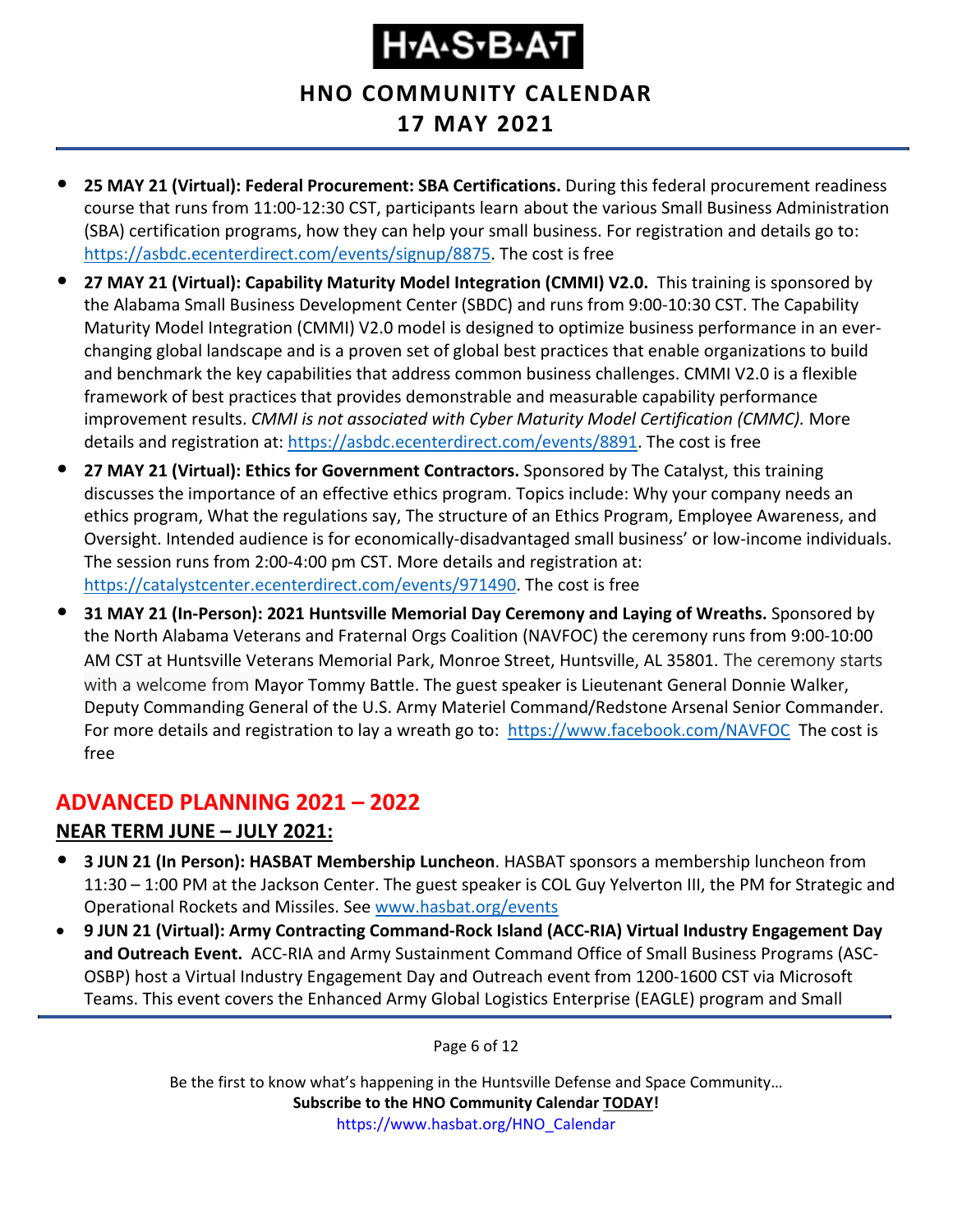**HNO COMMUNITY CALENDAR**

### **17 MAY 2021**

- **25 MAY 21 (Virtual): Federal Procurement: SBA Certifications.** During this federal procurement readiness course that runs from 11:00-12:30 CST, participants learn about the various Small Business Administration (SBA) certification programs, how they can help your small business. For registration and details go to: [https://asbdc.ecenterdirect.com/events/signup/8875.](https://asbdc.ecenterdirect.com/events/signup/8875) The cost is free
- **27 MAY 21 (Virtual): Capability Maturity Model Integration (CMMI) V2.0.** This training is sponsored by the Alabama Small Business Development Center (SBDC) and runs from 9:00-10:30 CST. The Capability Maturity Model Integration (CMMI) V2.0 model is designed to optimize business performance in an everchanging global landscape and is a proven set of global best practices that enable organizations to build and benchmark the key capabilities that address common business challenges. CMMI V2.0 is a flexible framework of best practices that provides demonstrable and measurable capability performance improvement results. *CMMI is not associated with Cyber Maturity Model Certification (CMMC).* More details and registration at: [https://asbdc.ecenterdirect.com/events/8891.](https://asbdc.ecenterdirect.com/events/8891) The cost is free
- **27 MAY 21 (Virtual): Ethics for Government Contractors.** Sponsored by The Catalyst, this training discusses the importance of an effective ethics program. Topics include: Why your company needs an ethics program, What the regulations say, The structure of an Ethics Program, Employee Awareness, and Oversight. Intended audience is for economically-disadvantaged small business' or low-income individuals. The session runs from 2:00-4:00 pm CST. More details and registration at: [https://catalystcenter.ecenterdirect.com/events/971490.](https://catalystcenter.ecenterdirect.com/events/971490) The cost is free
- **31 MAY 21 (In-Person): 2021 Huntsville Memorial Day Ceremony and Laying of Wreaths.** Sponsored by the North Alabama Veterans and Fraternal Orgs Coalition (NAVFOC) the ceremony runs from 9:00-10:00 AM CST at Huntsville Veterans Memorial Park, Monroe Street, Huntsville, AL 35801. The ceremony starts with a welcome from Mayor Tommy Battle. The guest speaker is Lieutenant General Donnie Walker, Deputy Commanding General of the U.S. Army Materiel Command/Redstone Arsenal Senior Commander. For more details and registration to lay a wreath go to: <https://www.facebook.com/NAVFOC>The cost is free

#### <span id="page-5-0"></span>**ADVANCED PLANNING 2021 – 2022 NEAR TERM JUNE – JULY 2021:**

- **3 JUN 21 (In Person): HASBAT Membership Luncheon**. HASBAT sponsors a membership luncheon from
- 11:30 1:00 PM at the Jackson Center. The guest speaker is COL Guy Yelverton III, the PM for Strategic and Operational Rockets and Missiles. See [www.hasbat.org/events](http://www.hasbat.org/events) • **9 JUN 21 (Virtual): Army Contracting Command-Rock Island (ACC-RIA) Virtual Industry Engagement Day**
- **and Outreach Event.** ACC-RIA and Army Sustainment Command Office of Small Business Programs (ASC-OSBP) host a Virtual Industry Engagement Day and Outreach event from 1200-1600 CST via Microsoft Teams. This event covers the Enhanced Army Global Logistics Enterprise (EAGLE) program and Small

Page 6 of 12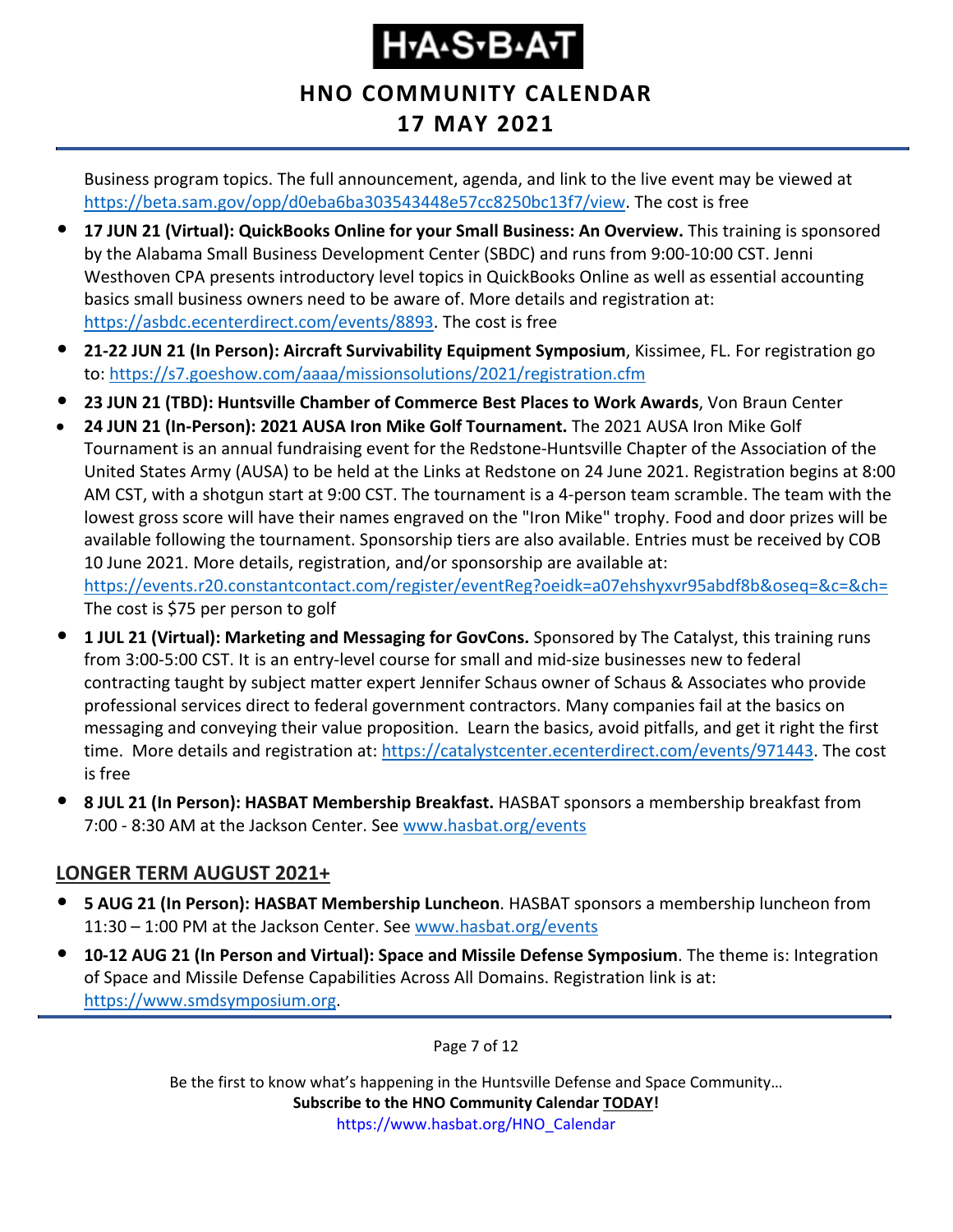### **HNO COMMUNITY CALENDAR**

#### **17 MAY 2021**

Business program topics. The full announcement, agenda, and link to the live event may be viewed at [https://beta.sam.gov/opp/d0eba6ba303543448e57cc8250bc13f7/view.](https://beta.sam.gov/opp/d0eba6ba303543448e57cc8250bc13f7/view) The cost is free

- **17 JUN 21 (Virtual): QuickBooks Online for your Small Business: An Overview.** This training is sponsored by the Alabama Small Business Development Center (SBDC) and runs from 9:00-10:00 CST. Jenni Westhoven CPA presents introductory level topics in QuickBooks Online as well as essential accounting basics small business owners need to be aware of. More details and registration at: [https://asbdc.ecenterdirect.com/events/8893.](https://asbdc.ecenterdirect.com/events/8893) The cost is free
- **21-22 JUN 21 (In Person): Aircraft Survivability Equipment Symposium**, Kissimee, FL. For registration go to:<https://s7.goeshow.com/aaaa/missionsolutions/2021/registration.cfm>
- **23 JUN 21 (TBD): Huntsville Chamber of Commerce Best Places to Work Awards**, Von Braun Center
- **24 JUN 21 (In-Person): 2021 AUSA Iron Mike Golf Tournament.** The 2021 AUSA Iron Mike Golf Tournament is an annual fundraising event for the Redstone-Huntsville Chapter of the Association of the United States Army (AUSA) to be held at the Links at Redstone on 24 June 2021. Registration begins at 8:00 AM CST, with a shotgun start at 9:00 CST. The tournament is a 4-person team scramble. The team with the lowest gross score will have their names engraved on the "Iron Mike" trophy. Food and door prizes will be available following the tournament. Sponsorship tiers are also available. Entries must be received by COB 10 June 2021. More details, registration, and/or sponsorship are available at: <https://events.r20.constantcontact.com/register/eventReg?oeidk=a07ehshyxvr95abdf8b&oseq=&c=&ch=> The cost is \$75 per person to golf
- **1 JUL 21 (Virtual): Marketing and Messaging for GovCons.** Sponsored by The Catalyst, this training runs from 3:00-5:00 CST. It is an entry-level course for small and mid-size businesses new to federal contracting taught by subject matter expert Jennifer Schaus owner of Schaus & Associates who provide professional services direct to federal government contractors. Many companies fail at the basics on messaging and conveying their value proposition. Learn the basics, avoid pitfalls, and get it right the first time. More details and registration at: [https://catalystcenter.ecenterdirect.com/events/971443.](https://catalystcenter.ecenterdirect.com/events/971443) The cost is free
- **8 JUL 21 (In Person): HASBAT Membership Breakfast.** HASBAT sponsors a membership breakfast from 7:00 - 8:30 AM at the Jackson Center. See [www.hasbat.org/events](http://www.hasbat.org/events)

#### **LONGER TERM AUGUST 2021+**

- **5 AUG 21 (In Person): HASBAT Membership Luncheon**. HASBAT sponsors a membership luncheon from 11:30 – 1:00 PM at the Jackson Center. See [www.hasbat.org/events](http://www.hasbat.org/events)
- **10-12 AUG 21 (In Person and Virtual): Space and Missile Defense Symposium**. The theme is: Integration of Space and Missile Defense Capabilities Across All Domains. Registration link is at: [https://www.smdsymposium.org.](https://www.smdsymposium.org/)

Page 7 of 12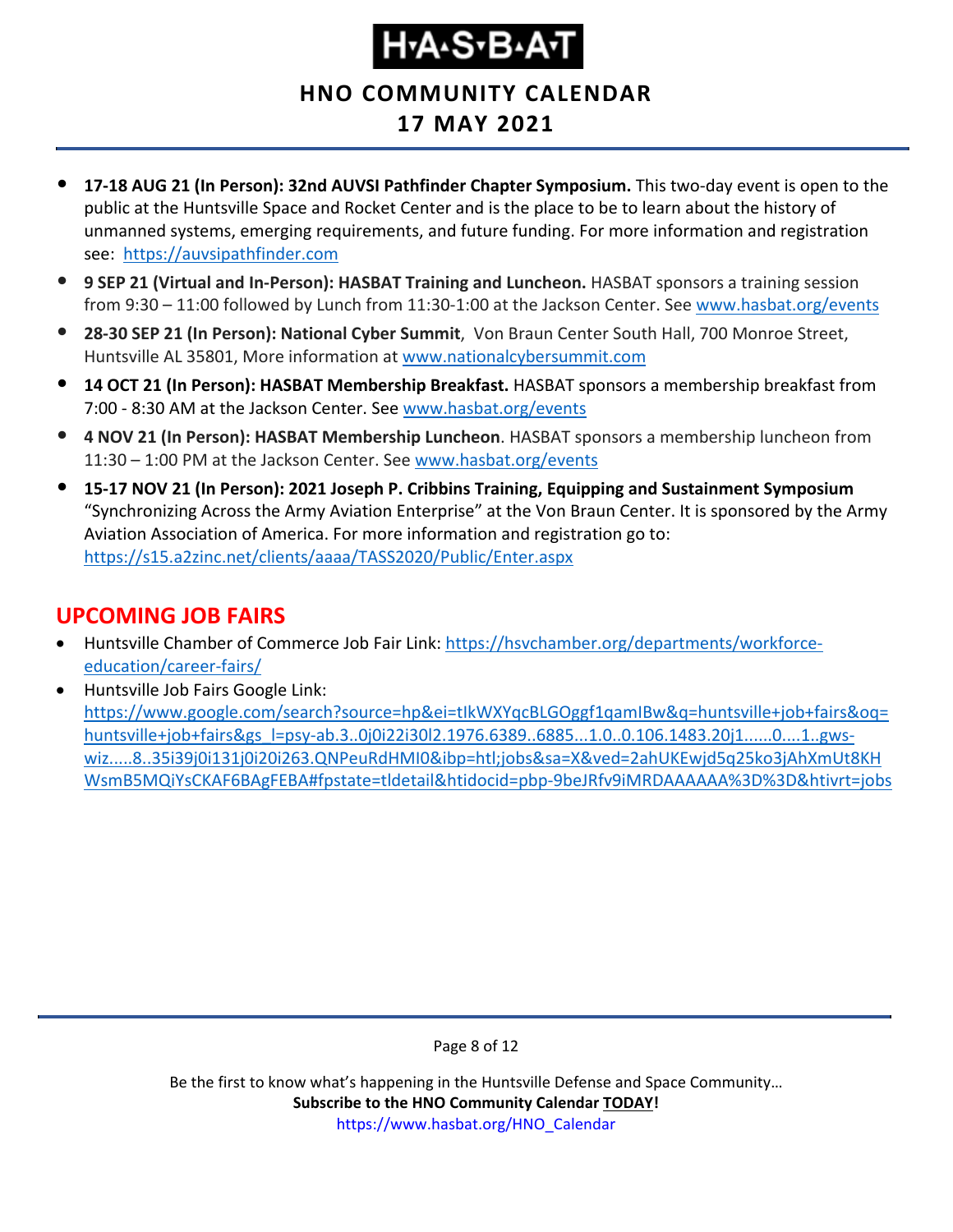**HNO COMMUNITY CALENDAR**

### **17 MAY 2021**

- **17-18 AUG 21 (In Person): 32nd AUVSI Pathfinder Chapter Symposium.** This two-day event is open to the public at the Huntsville Space and Rocket Center and is the place to be to learn about the history of unmanned systems, emerging requirements, and future funding. For more information and registration see: [https://auvsipathfinder.com](https://auvsipathfinder.com/)
- **9 SEP 21 (Virtual and In-Person): HASBAT Training and Luncheon.** HASBAT sponsors a training session from 9:30 – 11:00 followed by Lunch from 11:30-1:00 at the Jackson Center. See [www.hasbat.org/events](http://www.hasbat.org/events)
- **28-30 SEP 21 (In Person): National Cyber Summit**, Von Braun Center South Hall, 700 Monroe Street, Huntsville AL 35801, More information at [www.nationalcybersummit.com](http://www.nationalcybersummit.com/)
- **14 OCT 21 (In Person): HASBAT Membership Breakfast.** HASBAT sponsors a membership breakfast from 7:00 - 8:30 AM at the Jackson Center. See [www.hasbat.org/events](http://www.hasbat.org/events)
- **4 NOV 21 (In Person): HASBAT Membership Luncheon**. HASBAT sponsors a membership luncheon from 11:30 – 1:00 PM at the Jackson Center. See [www.hasbat.org/events](http://www.hasbat.org/events)
- **15-17 NOV 21 (In Person): 2021 Joseph P. Cribbins Training, Equipping and Sustainment Symposium** "Synchronizing Across the Army Aviation Enterprise" at the Von Braun Center. It is sponsored by the Army Aviation Association of America. For more information and registration go to: <https://s15.a2zinc.net/clients/aaaa/TASS2020/Public/Enter.aspx>

#### <span id="page-7-0"></span>**UPCOMING JOB FAIRS**

- Huntsville Chamber of Commerce Job Fair Link: [https://hsvchamber.org/departments/workforce](https://hsvchamber.org/departments/workforce-education/career-fairs/)[education/career-fairs/](https://hsvchamber.org/departments/workforce-education/career-fairs/)
- Huntsville Job Fairs Google Link: [https://www.google.com/search?source=hp&ei=tIkWXYqcBLGOggf1qamIBw&q=huntsville+job+fairs&oq=](https://www.google.com/search?source=hp&ei=tIkWXYqcBLGOggf1qamIBw&q=huntsville+job+fairs&oq=huntsville+job+fairs&gs_l=psy-ab.3..0j0i22i30l2.1976.6389..6885...1.0..0.106.1483.20j1......0....1..gws-wiz.....8..35i39j0i131j0i20i263.QNPeuRdHMI0&ibp=htl;jobs&sa=X&ved=2ahUKEwjd5q25ko3jAhXmUt8KHWsmB5MQiYsCKAF6BAgFEBA#fpstate=tldetail&htidocid=pbp-9beJRfv9iMRDAAAAAA%3D%3D&htivrt=jobs) [huntsville+job+fairs&gs\\_l=psy-ab.3..0j0i22i30l2.1976.6389..6885...1.0..0.106.1483.20j1......0....1..gws](https://www.google.com/search?source=hp&ei=tIkWXYqcBLGOggf1qamIBw&q=huntsville+job+fairs&oq=huntsville+job+fairs&gs_l=psy-ab.3..0j0i22i30l2.1976.6389..6885...1.0..0.106.1483.20j1......0....1..gws-wiz.....8..35i39j0i131j0i20i263.QNPeuRdHMI0&ibp=htl;jobs&sa=X&ved=2ahUKEwjd5q25ko3jAhXmUt8KHWsmB5MQiYsCKAF6BAgFEBA#fpstate=tldetail&htidocid=pbp-9beJRfv9iMRDAAAAAA%3D%3D&htivrt=jobs)[wiz.....8..35i39j0i131j0i20i263.QNPeuRdHMI0&ibp=htl;jobs&sa=X&ved=2ahUKEwjd5q25ko3jAhXmUt8KH](https://www.google.com/search?source=hp&ei=tIkWXYqcBLGOggf1qamIBw&q=huntsville+job+fairs&oq=huntsville+job+fairs&gs_l=psy-ab.3..0j0i22i30l2.1976.6389..6885...1.0..0.106.1483.20j1......0....1..gws-wiz.....8..35i39j0i131j0i20i263.QNPeuRdHMI0&ibp=htl;jobs&sa=X&ved=2ahUKEwjd5q25ko3jAhXmUt8KHWsmB5MQiYsCKAF6BAgFEBA#fpstate=tldetail&htidocid=pbp-9beJRfv9iMRDAAAAAA%3D%3D&htivrt=jobs) [WsmB5MQiYsCKAF6BAgFEBA#fpstate=tldetail&htidocid=pbp-9beJRfv9iMRDAAAAAA%3D%3D&htivrt=jobs](https://www.google.com/search?source=hp&ei=tIkWXYqcBLGOggf1qamIBw&q=huntsville+job+fairs&oq=huntsville+job+fairs&gs_l=psy-ab.3..0j0i22i30l2.1976.6389..6885...1.0..0.106.1483.20j1......0....1..gws-wiz.....8..35i39j0i131j0i20i263.QNPeuRdHMI0&ibp=htl;jobs&sa=X&ved=2ahUKEwjd5q25ko3jAhXmUt8KHWsmB5MQiYsCKAF6BAgFEBA#fpstate=tldetail&htidocid=pbp-9beJRfv9iMRDAAAAAA%3D%3D&htivrt=jobs)

Page 8 of 12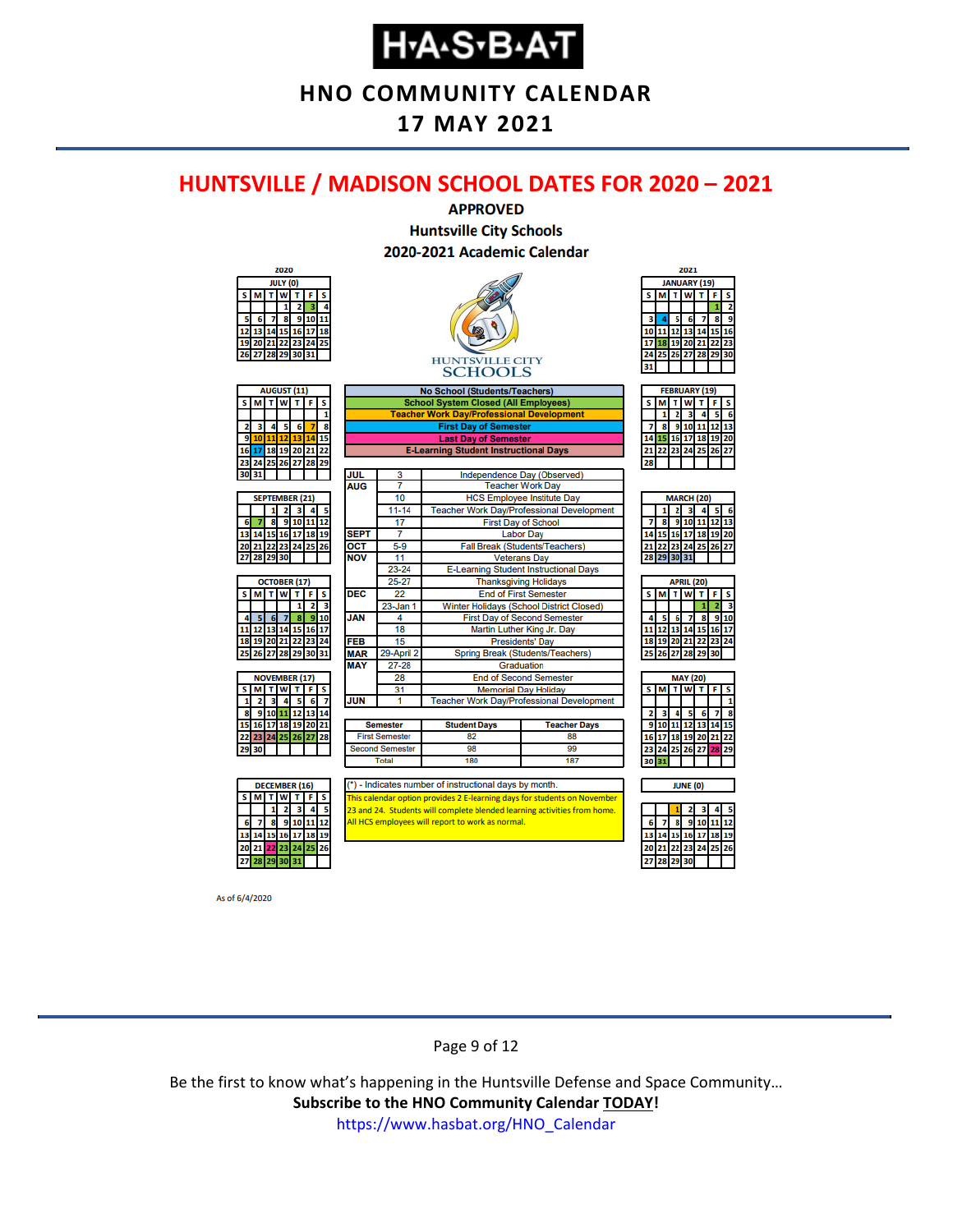**HNO COMMUNITY CALENDAR**

#### **17 MAY 2021**

#### <span id="page-8-0"></span>**HUNTSVILLE / MADISON SCHOOL DATES FOR 2020 – 2021**



As of 6/4/2020

#### Page 9 of 12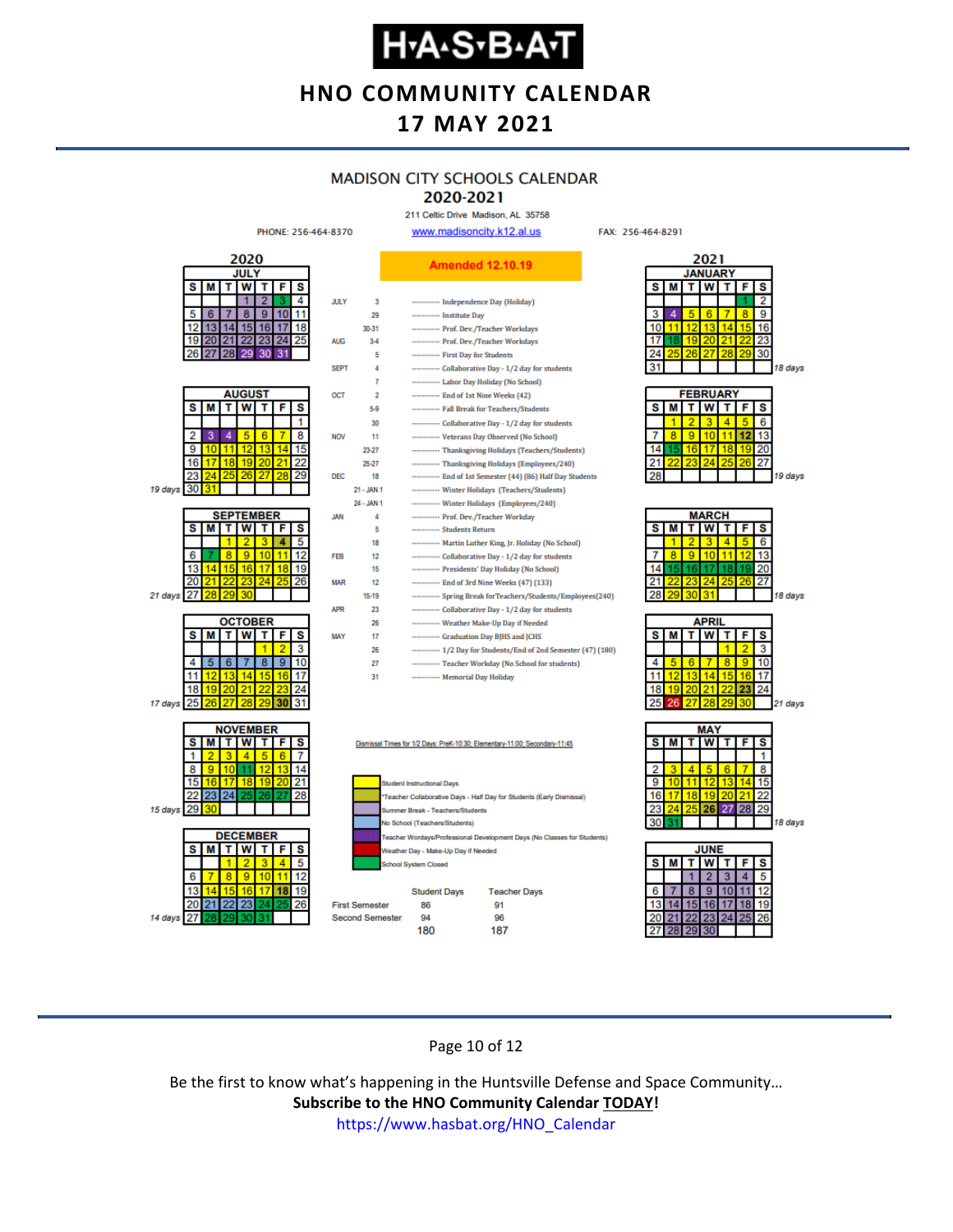**HNO COMMUNITY CALENDAR**

#### **17 MAY 2021**

#### **MADISON CITY SCHOOLS CALENDAR**

#### 2020-2021

211 Celtic Drive Madison, AL 35758 www.madisoncity.k12.al.us

FAX: 256-464-8291



#### Page 10 of 12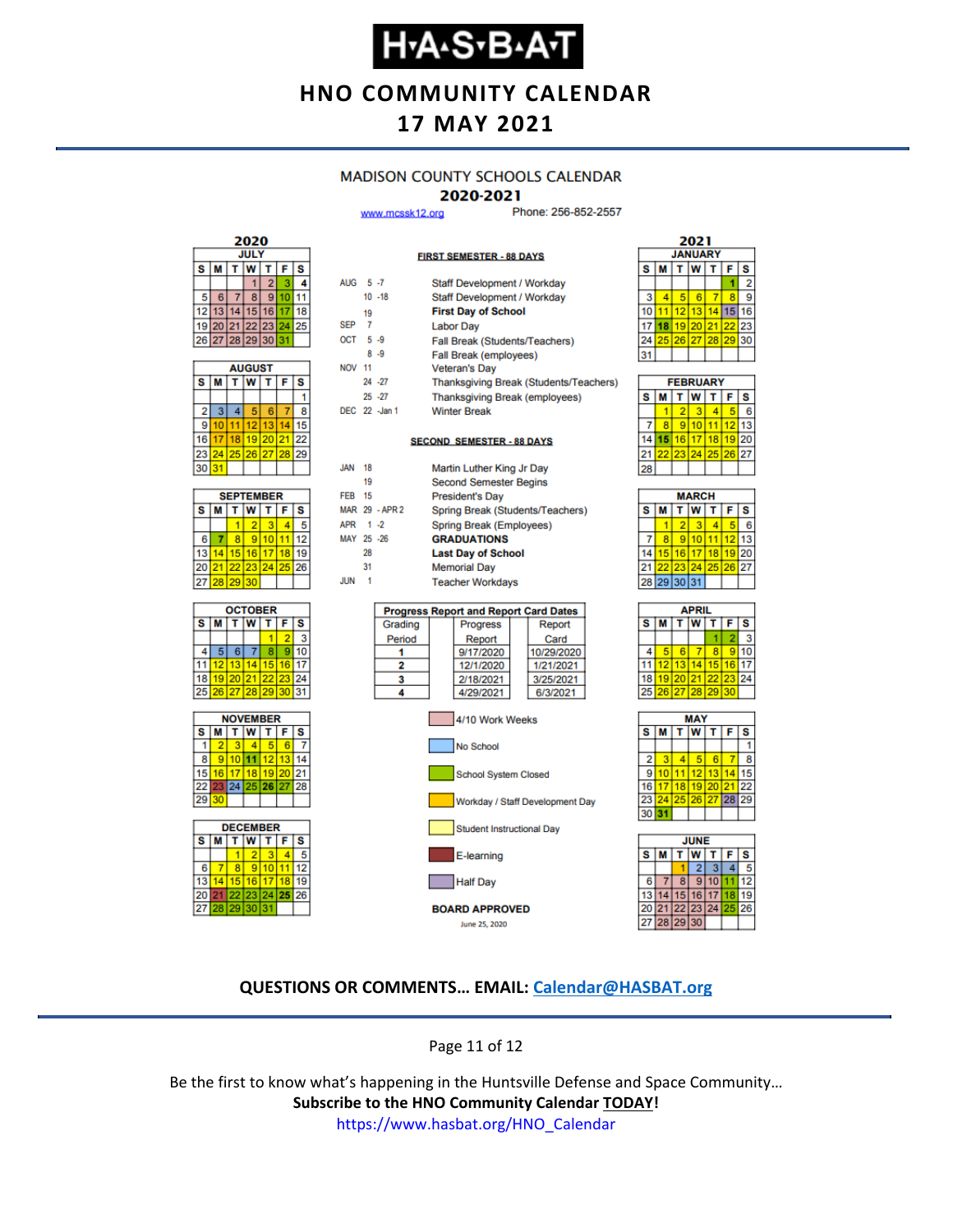### **Н-А-S-В-А-Т**

**HNO COMMUNITY CALENDAR**

#### **17 MAY 2021**

#### **MADISON COUNTY SCHOOLS CALENDAR**

#### 2020-2021

**FIRST SEMESTER - 88 DAYS** 

www.mcssk12.org

Phone: 256-852-2557

| 2020        |    |    |                |       |    |    |  |  |
|-------------|----|----|----------------|-------|----|----|--|--|
| <b>JULY</b> |    |    |                |       |    |    |  |  |
| S<br>s<br>F |    |    |                |       |    |    |  |  |
|             |    |    |                | 2     |    |    |  |  |
| 5           | 6  |    | 8              | ٥     |    |    |  |  |
| 12          | 13 |    | 5              | 16    |    | 18 |  |  |
| 19          | 20 | 21 |                | 22 23 | 24 | 25 |  |  |
|             |    |    | 26 27 28 29 30 |       | 31 |    |  |  |

| <b>AUGUST</b> |    |    |          |    |    |    |  |  |
|---------------|----|----|----------|----|----|----|--|--|
| s             | M  |    | W        |    | F  | S  |  |  |
|               |    |    |          |    |    |    |  |  |
| 2             | 3  | 4  | 5        | 6  |    | 8  |  |  |
| 9             | 10 | 11 | $12 \,$  | 13 |    | 15 |  |  |
| 16            | 17 | 18 | 19 20    |    | 21 | 22 |  |  |
| 23            | 24 |    | 25 26 27 |    | 28 | 29 |  |  |
| 30            | 31 |    |          |    |    |    |  |  |

| <b>SEPTEMBER</b> |                  |                 |          |  |    |    |  |  |
|------------------|------------------|-----------------|----------|--|----|----|--|--|
| S                | W<br>F<br>s<br>М |                 |          |  |    |    |  |  |
|                  |                  |                 |          |  |    |    |  |  |
| 6                |                  |                 | g        |  |    | 12 |  |  |
| 13               |                  | 15 <sup>1</sup> | 16       |  | 18 | g  |  |  |
| 20               | 21               |                 | 22 23 24 |  | 25 | 26 |  |  |
| 27               | 28               | 29              | 30       |  |    |    |  |  |







| AUG 5-7          |    |                | Staff Development / Workday    |                                              |  |                                        |  |  |  |
|------------------|----|----------------|--------------------------------|----------------------------------------------|--|----------------------------------------|--|--|--|
|                  |    | $10 - 18$      | Staff Development / Workday    |                                              |  |                                        |  |  |  |
|                  | 19 |                |                                | <b>First Day of School</b>                   |  |                                        |  |  |  |
| SEP <sub>7</sub> |    |                | <b>Labor Day</b>               |                                              |  |                                        |  |  |  |
| OCT 5-9          |    |                | Fall Break (Students/Teachers) |                                              |  |                                        |  |  |  |
|                  |    | $8 - 9$        | <b>Fall Break (employees)</b>  |                                              |  |                                        |  |  |  |
| <b>NOV 11</b>    |    |                |                                | <b>Veteran's Day</b>                         |  |                                        |  |  |  |
|                  |    | 24 - 27        |                                |                                              |  | Thanksgiving Break (Students/Teachers) |  |  |  |
|                  |    | $25 - 27$      |                                | <b>Thanksgiving Break (employees)</b>        |  |                                        |  |  |  |
|                  |    | DEC 22 - Jan 1 |                                | <b>Winter Break</b>                          |  |                                        |  |  |  |
|                  |    |                |                                |                                              |  |                                        |  |  |  |
|                  |    |                |                                | <b>SECOND SEMESTER - 88 DAYS</b>             |  |                                        |  |  |  |
|                  |    |                |                                |                                              |  |                                        |  |  |  |
| <b>JAN</b>       | 18 |                |                                | Martin Luther King Jr Day                    |  |                                        |  |  |  |
|                  | 19 |                |                                | <b>Second Semester Begins</b>                |  |                                        |  |  |  |
| <b>FFR 15</b>    |    |                |                                | <b>President's Day</b>                       |  |                                        |  |  |  |
|                  |    | MAR 29 - APR 2 |                                |                                              |  | Spring Break (Students/Teachers)       |  |  |  |
| APR 1 -2         |    |                |                                | Spring Break (Employees)                     |  |                                        |  |  |  |
| MAY 25 -26       |    |                |                                | <b>GRADUATIONS</b>                           |  |                                        |  |  |  |
|                  | 28 |                |                                | <b>Last Day of School</b>                    |  |                                        |  |  |  |
|                  | 31 |                |                                | <b>Memorial Day</b>                          |  |                                        |  |  |  |
| <b>JUN</b>       | 1  |                |                                | <b>Teacher Workdays</b>                      |  |                                        |  |  |  |
|                  |    |                |                                |                                              |  |                                        |  |  |  |
|                  |    |                |                                | <b>Progress Report and Report Card Dates</b> |  |                                        |  |  |  |
|                  |    | Grading        |                                | Progress                                     |  | Report                                 |  |  |  |
|                  |    | Period         |                                | Report                                       |  | Card                                   |  |  |  |
|                  |    | 1              |                                | 9/17/2020                                    |  | 10/29/2020                             |  |  |  |
|                  |    | 2              |                                | 12/1/2020                                    |  | 1/21/2021                              |  |  |  |
|                  |    | 3              |                                | 2/18/2021                                    |  | 3/25/2021                              |  |  |  |
|                  |    | 4              | 4/29/2021<br>6/3/2021          |                                              |  |                                        |  |  |  |



| 2021 |                  |    |    |    |    |    |  |  |  |  |
|------|------------------|----|----|----|----|----|--|--|--|--|
|      | <b>JANUARY</b>   |    |    |    |    |    |  |  |  |  |
| s    | W<br>S<br>M<br>F |    |    |    |    |    |  |  |  |  |
|      |                  |    |    |    |    | 2  |  |  |  |  |
| 3    | 4                | 6  | 6  |    | 8  | 9  |  |  |  |  |
|      |                  | 12 | 13 | 14 | 15 | 16 |  |  |  |  |
|      |                  | 19 | 20 | 21 | 22 | 23 |  |  |  |  |
| 24   | 25               | 26 | 27 | 28 | 29 | 30 |  |  |  |  |
| 31   |                  |    |    |    |    |    |  |  |  |  |
|      |                  |    |    |    |    |    |  |  |  |  |

| <b>FEBRUARY</b> |   |           |                 |    |    |    |  |  |  |
|-----------------|---|-----------|-----------------|----|----|----|--|--|--|
| s               | М | τI        | W               |    | F  | S  |  |  |  |
|                 |   | 2         | з               |    | 5  | ĥ  |  |  |  |
|                 | R | $\bullet$ | 10              |    | 12 | 13 |  |  |  |
| 14              |   | 16        | 17 <sup>1</sup> | 18 | 19 | 20 |  |  |  |
|                 |   |           | 23 24 25 26 27  |    |    |    |  |  |  |
|                 |   |           |                 |    |    |    |  |  |  |

| <b>MARCH</b> |                                 |    |                 |    |       |    |  |  |  |
|--------------|---------------------------------|----|-----------------|----|-------|----|--|--|--|
| s            | <b>T</b> W<br>$T$ $F$<br>s<br>M |    |                 |    |       |    |  |  |  |
|              |                                 | 2  | з               |    |       | 6  |  |  |  |
|              | 8                               | g  | 10              |    | 12    | 13 |  |  |  |
| 14           | 15 <sup>1</sup>                 | 16 | 17 <sup>1</sup> | 18 | 19    | 20 |  |  |  |
| 21           | 22                              |    | 23 24 25        |    | 26 27 |    |  |  |  |
|              |                                 |    | 28 29 30 31     |    |       |    |  |  |  |
|              |                                 |    |                 |    |       |    |  |  |  |

| APRIL              |                        |    |                |    |    |    |  |  |
|--------------------|------------------------|----|----------------|----|----|----|--|--|
| $\bar{\mathbf{s}}$ | м                      |    | W              | т  | F  | S  |  |  |
|                    |                        |    |                |    |    |    |  |  |
|                    |                        |    |                | 8  | 9  |    |  |  |
| 11                 | 12 <sup>1</sup>        | 13 | 14             | 15 | 16 | 17 |  |  |
| 18                 |                        |    | 19 20 21 22 23 |    |    | 24 |  |  |
| 25                 | 26   27   28   29   30 |    |                |    |    |    |  |  |
|                    |                        |    |                |    |    |    |  |  |





#### **QUESTIONS OR COMMENTS… EMAIL: [Calendar@HASBAT.org](mailto:calendar@hasbat.org)**

Page 11 of 12